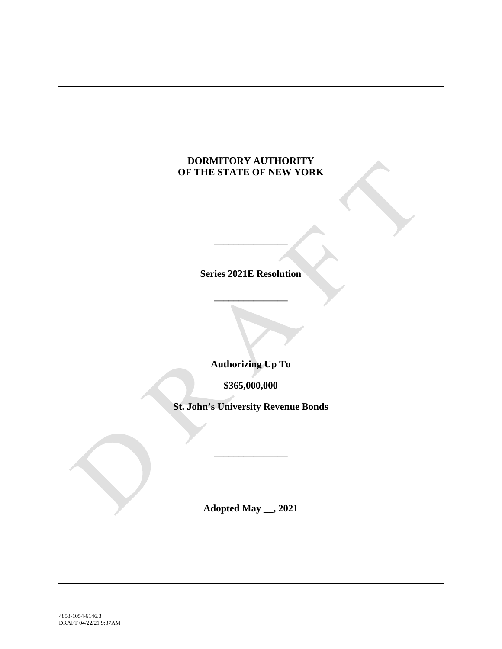# **DORMITORY AUTHORITY OF THE STATE OF NEW YORK**

**Series 2021E Resolution**

**\_\_\_\_\_\_\_\_\_\_\_\_\_\_\_**

**\_\_\_\_\_\_\_\_\_\_\_\_\_\_\_**

**Authorizing Up To**

**\$365,000,000**

**St. John's University Revenue Bonds**

**\_\_\_\_\_\_\_\_\_\_\_\_\_\_\_**

**Adopted May \_\_, 2021**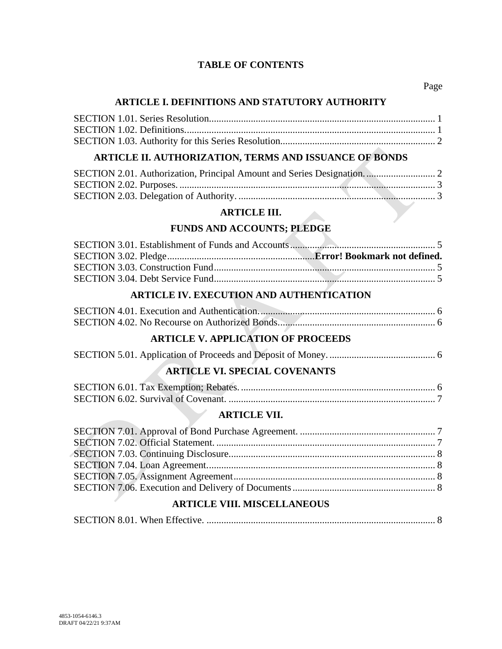### **TABLE OF CONTENTS**

### **ARTICLE I. DEFINITIONS AND STATUTORY AUTHORITY**

# **ARTICLE II. AUTHORIZATION, TERMS AND ISSUANCE OF BONDS**

### **ARTICLE III.**

# **FUNDS AND ACCOUNTS; PLEDGE**

# **ARTICLE IV. EXECUTION AND AUTHENTICATION**

# **ARTICLE V. APPLICATION OF PROCEEDS**

# **ARTICLE VI. SPECIAL COVENANTS**

### **ARTICLE VII.**

### **ARTICLE VIII. MISCELLANEOUS**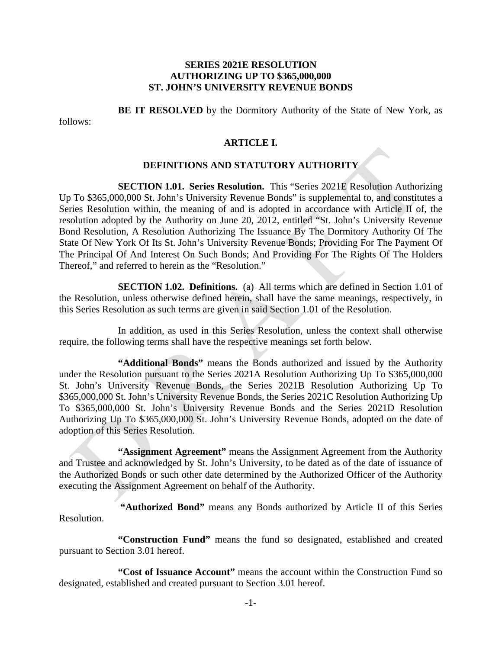### **SERIES 2021E RESOLUTION AUTHORIZING UP TO \$365,000,000 ST. JOHN'S UNIVERSITY REVENUE BONDS**

**BE IT RESOLVED** by the Dormitory Authority of the State of New York, as

follows:

#### **ARTICLE I.**

#### **DEFINITIONS AND STATUTORY AUTHORITY**

**SECTION 1.01. Series Resolution.** This "Series 2021E Resolution Authorizing Up To \$365,000,000 St. John's University Revenue Bonds" is supplemental to, and constitutes a Series Resolution within, the meaning of and is adopted in accordance with Article II of, the resolution adopted by the Authority on June 20, 2012, entitled "St. John's University Revenue Bond Resolution, A Resolution Authorizing The Issuance By The Dormitory Authority Of The State Of New York Of Its St. John's University Revenue Bonds; Providing For The Payment Of The Principal Of And Interest On Such Bonds; And Providing For The Rights Of The Holders Thereof," and referred to herein as the "Resolution."

**SECTION 1.02. Definitions.** (a) All terms which are defined in Section 1.01 of the Resolution, unless otherwise defined herein, shall have the same meanings, respectively, in this Series Resolution as such terms are given in said Section 1.01 of the Resolution.

In addition, as used in this Series Resolution, unless the context shall otherwise require, the following terms shall have the respective meanings set forth below.

**"Additional Bonds"** means the Bonds authorized and issued by the Authority under the Resolution pursuant to the Series 2021A Resolution Authorizing Up To \$365,000,000 St. John's University Revenue Bonds, the Series 2021B Resolution Authorizing Up To \$365,000,000 St. John's University Revenue Bonds, the Series 2021C Resolution Authorizing Up To \$365,000,000 St. John's University Revenue Bonds and the Series 2021D Resolution Authorizing Up To \$365,000,000 St. John's University Revenue Bonds, adopted on the date of adoption of this Series Resolution.

**"Assignment Agreement"** means the Assignment Agreement from the Authority and Trustee and acknowledged by St. John's University, to be dated as of the date of issuance of the Authorized Bonds or such other date determined by the Authorized Officer of the Authority executing the Assignment Agreement on behalf of the Authority.

**"Authorized Bond"** means any Bonds authorized by Article II of this Series Resolution.

**"Construction Fund"** means the fund so designated, established and created pursuant to Section 3.01 hereof.

**"Cost of Issuance Account"** means the account within the Construction Fund so designated, established and created pursuant to Section 3.01 hereof.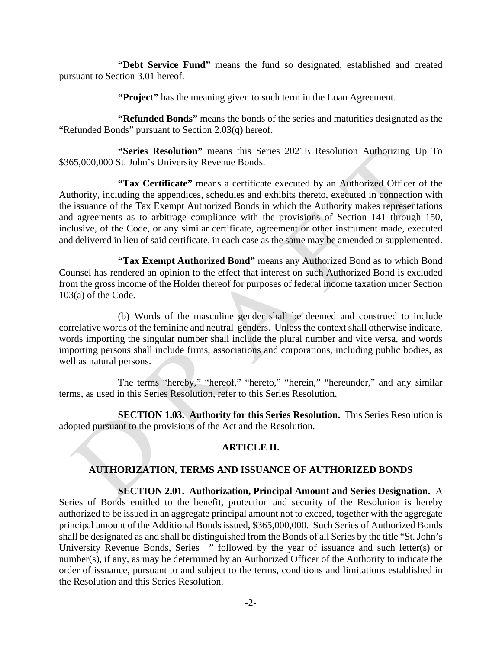**"Debt Service Fund"** means the fund so designated, established and created pursuant to Section 3.01 hereof.

**"Project"** has the meaning given to such term in the Loan Agreement.

**"Refunded Bonds"** means the bonds of the series and maturities designated as the "Refunded Bonds" pursuant to Section 2.03(q) hereof.

**"Series Resolution"** means this Series 2021E Resolution Authorizing Up To \$365,000,000 St. John's University Revenue Bonds.

**"Tax Certificate"** means a certificate executed by an Authorized Officer of the Authority, including the appendices, schedules and exhibits thereto, executed in connection with the issuance of the Tax Exempt Authorized Bonds in which the Authority makes representations and agreements as to arbitrage compliance with the provisions of Section 141 through 150, inclusive, of the Code, or any similar certificate, agreement or other instrument made, executed and delivered in lieu of said certificate, in each case as the same may be amended or supplemented.

**"Tax Exempt Authorized Bond"** means any Authorized Bond as to which Bond Counsel has rendered an opinion to the effect that interest on such Authorized Bond is excluded from the gross income of the Holder thereof for purposes of federal income taxation under Section 103(a) of the Code.

(b) Words of the masculine gender shall be deemed and construed to include correlative words of the feminine and neutral genders. Unless the context shall otherwise indicate, words importing the singular number shall include the plural number and vice versa, and words importing persons shall include firms, associations and corporations, including public bodies, as well as natural persons.

The terms "hereby," "hereof," "hereto," "herein," "hereunder," and any similar terms, as used in this Series Resolution, refer to this Series Resolution.

**SECTION 1.03. Authority for this Series Resolution.** This Series Resolution is adopted pursuant to the provisions of the Act and the Resolution.

### **ARTICLE II.**

### **AUTHORIZATION, TERMS AND ISSUANCE OF AUTHORIZED BONDS**

# **SECTION 2.01. Authorization, Principal Amount and Series Designation.** A

Series of Bonds entitled to the benefit, protection and security of the Resolution is hereby authorized to be issued in an aggregate principal amount not to exceed, together with the aggregate principal amount of the Additional Bonds issued, \$365,000,000. Such Series of Authorized Bonds shall be designated as and shall be distinguished from the Bonds of all Series by the title "St. John's University Revenue Bonds, Series " followed by the year of issuance and such letter(s) or number(s), if any, as may be determined by an Authorized Officer of the Authority to indicate the order of issuance, pursuant to and subject to the terms, conditions and limitations established in the Resolution and this Series Resolution.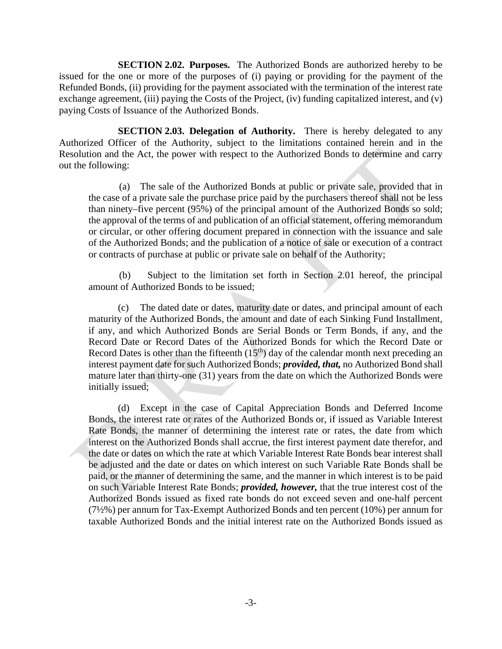**SECTION 2.02. Purposes.** The Authorized Bonds are authorized hereby to be issued for the one or more of the purposes of (i) paying or providing for the payment of the Refunded Bonds, (ii) providing for the payment associated with the termination of the interest rate exchange agreement, (iii) paying the Costs of the Project, (iv) funding capitalized interest, and (v) paying Costs of Issuance of the Authorized Bonds.

**SECTION 2.03. Delegation of Authority.** There is hereby delegated to any Authorized Officer of the Authority, subject to the limitations contained herein and in the Resolution and the Act, the power with respect to the Authorized Bonds to determine and carry out the following:

(a) The sale of the Authorized Bonds at public or private sale, provided that in the case of a private sale the purchase price paid by the purchasers thereof shall not be less than ninety–five percent (95%) of the principal amount of the Authorized Bonds so sold; the approval of the terms of and publication of an official statement, offering memorandum or circular, or other offering document prepared in connection with the issuance and sale of the Authorized Bonds; and the publication of a notice of sale or execution of a contract or contracts of purchase at public or private sale on behalf of the Authority;

(b) Subject to the limitation set forth in Section 2.01 hereof, the principal amount of Authorized Bonds to be issued;

(c) The dated date or dates, maturity date or dates, and principal amount of each maturity of the Authorized Bonds, the amount and date of each Sinking Fund Installment, if any, and which Authorized Bonds are Serial Bonds or Term Bonds, if any, and the Record Date or Record Dates of the Authorized Bonds for which the Record Date or Record Dates is other than the fifteenth  $(15<sup>th</sup>)$  day of the calendar month next preceding an interest payment date for such Authorized Bonds; *provided, that,* no Authorized Bond shall mature later than thirty-one (31) years from the date on which the Authorized Bonds were initially issued;

(d) Except in the case of Capital Appreciation Bonds and Deferred Income Bonds, the interest rate or rates of the Authorized Bonds or, if issued as Variable Interest Rate Bonds, the manner of determining the interest rate or rates, the date from which interest on the Authorized Bonds shall accrue, the first interest payment date therefor, and the date or dates on which the rate at which Variable Interest Rate Bonds bear interest shall be adjusted and the date or dates on which interest on such Variable Rate Bonds shall be paid, or the manner of determining the same, and the manner in which interest is to be paid on such Variable Interest Rate Bonds; *provided, however,* that the true interest cost of the Authorized Bonds issued as fixed rate bonds do not exceed seven and one-half percent (7½%) per annum for Tax-Exempt Authorized Bonds and ten percent (10%) per annum for taxable Authorized Bonds and the initial interest rate on the Authorized Bonds issued as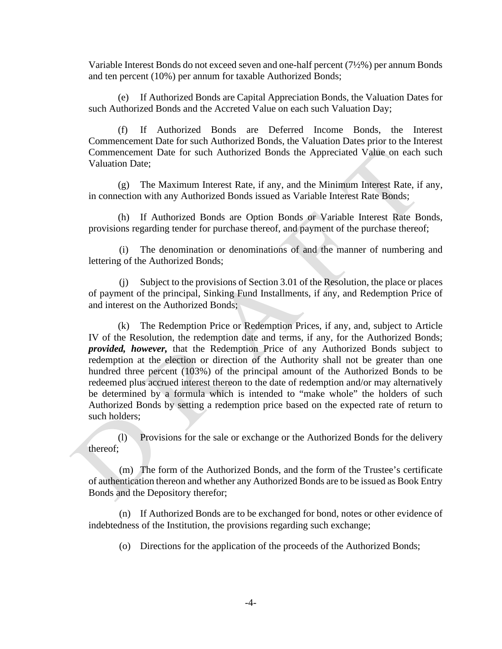Variable Interest Bonds do not exceed seven and one-half percent (7½%) per annum Bonds and ten percent (10%) per annum for taxable Authorized Bonds;

(e) If Authorized Bonds are Capital Appreciation Bonds, the Valuation Dates for such Authorized Bonds and the Accreted Value on each such Valuation Day;

(f) If Authorized Bonds are Deferred Income Bonds, the Interest Commencement Date for such Authorized Bonds, the Valuation Dates prior to the Interest Commencement Date for such Authorized Bonds the Appreciated Value on each such Valuation Date;

(g) The Maximum Interest Rate, if any, and the Minimum Interest Rate, if any, in connection with any Authorized Bonds issued as Variable Interest Rate Bonds;

(h) If Authorized Bonds are Option Bonds or Variable Interest Rate Bonds, provisions regarding tender for purchase thereof, and payment of the purchase thereof;

(i) The denomination or denominations of and the manner of numbering and lettering of the Authorized Bonds;

(j) Subject to the provisions of Section 3.01 of the Resolution, the place or places of payment of the principal, Sinking Fund Installments, if any, and Redemption Price of and interest on the Authorized Bonds;

(k) The Redemption Price or Redemption Prices, if any, and, subject to Article IV of the Resolution, the redemption date and terms, if any, for the Authorized Bonds; *provided, however,* that the Redemption Price of any Authorized Bonds subject to redemption at the election or direction of the Authority shall not be greater than one hundred three percent (103%) of the principal amount of the Authorized Bonds to be redeemed plus accrued interest thereon to the date of redemption and/or may alternatively be determined by a formula which is intended to "make whole" the holders of such Authorized Bonds by setting a redemption price based on the expected rate of return to such holders;

(l) Provisions for the sale or exchange or the Authorized Bonds for the delivery thereof;

(m) The form of the Authorized Bonds, and the form of the Trustee's certificate of authentication thereon and whether any Authorized Bonds are to be issued as Book Entry Bonds and the Depository therefor;

(n) If Authorized Bonds are to be exchanged for bond, notes or other evidence of indebtedness of the Institution, the provisions regarding such exchange;

(o) Directions for the application of the proceeds of the Authorized Bonds;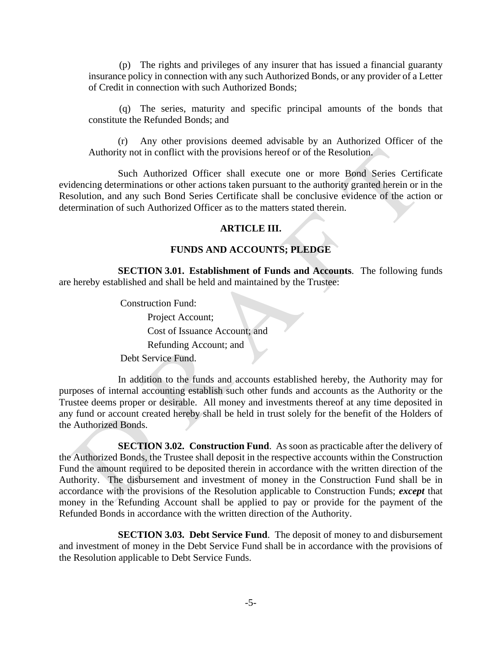(p) The rights and privileges of any insurer that has issued a financial guaranty insurance policy in connection with any such Authorized Bonds, or any provider of a Letter of Credit in connection with such Authorized Bonds;

(q) The series, maturity and specific principal amounts of the bonds that constitute the Refunded Bonds; and

(r) Any other provisions deemed advisable by an Authorized Officer of the Authority not in conflict with the provisions hereof or of the Resolution.

Such Authorized Officer shall execute one or more Bond Series Certificate evidencing determinations or other actions taken pursuant to the authority granted herein or in the Resolution, and any such Bond Series Certificate shall be conclusive evidence of the action or determination of such Authorized Officer as to the matters stated therein.

#### **ARTICLE III.**

#### **FUNDS AND ACCOUNTS; PLEDGE**

**SECTION 3.01. Establishment of Funds and Accounts**. The following funds are hereby established and shall be held and maintained by the Trustee:

> Construction Fund: Project Account; Cost of Issuance Account; and Refunding Account; and Debt Service Fund.

In addition to the funds and accounts established hereby, the Authority may for purposes of internal accounting establish such other funds and accounts as the Authority or the Trustee deems proper or desirable. All money and investments thereof at any time deposited in any fund or account created hereby shall be held in trust solely for the benefit of the Holders of the Authorized Bonds.

**SECTION 3.02. Construction Fund**. As soon as practicable after the delivery of the Authorized Bonds, the Trustee shall deposit in the respective accounts within the Construction Fund the amount required to be deposited therein in accordance with the written direction of the Authority. The disbursement and investment of money in the Construction Fund shall be in accordance with the provisions of the Resolution applicable to Construction Funds; *except* that money in the Refunding Account shall be applied to pay or provide for the payment of the Refunded Bonds in accordance with the written direction of the Authority.

**SECTION 3.03. Debt Service Fund**. The deposit of money to and disbursement and investment of money in the Debt Service Fund shall be in accordance with the provisions of the Resolution applicable to Debt Service Funds.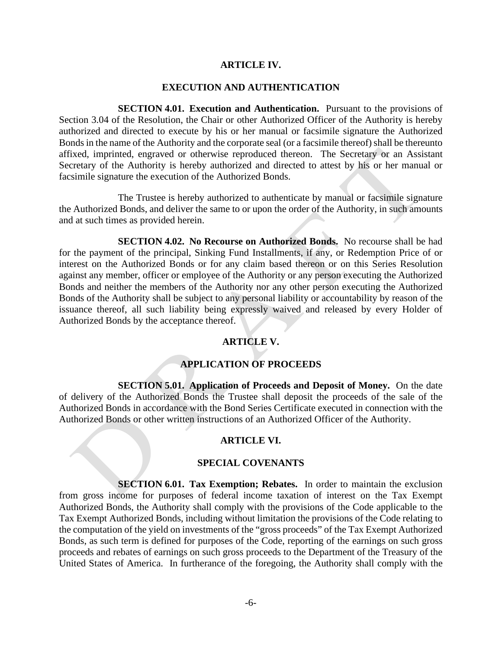#### **ARTICLE IV.**

#### **EXECUTION AND AUTHENTICATION**

**SECTION 4.01. Execution and Authentication.** Pursuant to the provisions of Section 3.04 of the Resolution, the Chair or other Authorized Officer of the Authority is hereby authorized and directed to execute by his or her manual or facsimile signature the Authorized Bonds in the name of the Authority and the corporate seal (or a facsimile thereof) shall be thereunto affixed, imprinted, engraved or otherwise reproduced thereon. The Secretary or an Assistant Secretary of the Authority is hereby authorized and directed to attest by his or her manual or facsimile signature the execution of the Authorized Bonds.

The Trustee is hereby authorized to authenticate by manual or facsimile signature the Authorized Bonds, and deliver the same to or upon the order of the Authority, in such amounts and at such times as provided herein.

**SECTION 4.02. No Recourse on Authorized Bonds.** No recourse shall be had for the payment of the principal, Sinking Fund Installments, if any, or Redemption Price of or interest on the Authorized Bonds or for any claim based thereon or on this Series Resolution against any member, officer or employee of the Authority or any person executing the Authorized Bonds and neither the members of the Authority nor any other person executing the Authorized Bonds of the Authority shall be subject to any personal liability or accountability by reason of the issuance thereof, all such liability being expressly waived and released by every Holder of Authorized Bonds by the acceptance thereof.

### **ARTICLE V.**

### **APPLICATION OF PROCEEDS**

**SECTION 5.01. Application of Proceeds and Deposit of Money.** On the date of delivery of the Authorized Bonds the Trustee shall deposit the proceeds of the sale of the Authorized Bonds in accordance with the Bond Series Certificate executed in connection with the Authorized Bonds or other written instructions of an Authorized Officer of the Authority.

#### **ARTICLE VI.**

#### **SPECIAL COVENANTS**

**SECTION 6.01. Tax Exemption; Rebates.** In order to maintain the exclusion from gross income for purposes of federal income taxation of interest on the Tax Exempt Authorized Bonds, the Authority shall comply with the provisions of the Code applicable to the Tax Exempt Authorized Bonds, including without limitation the provisions of the Code relating to the computation of the yield on investments of the "gross proceeds" of the Tax Exempt Authorized Bonds, as such term is defined for purposes of the Code, reporting of the earnings on such gross proceeds and rebates of earnings on such gross proceeds to the Department of the Treasury of the United States of America. In furtherance of the foregoing, the Authority shall comply with the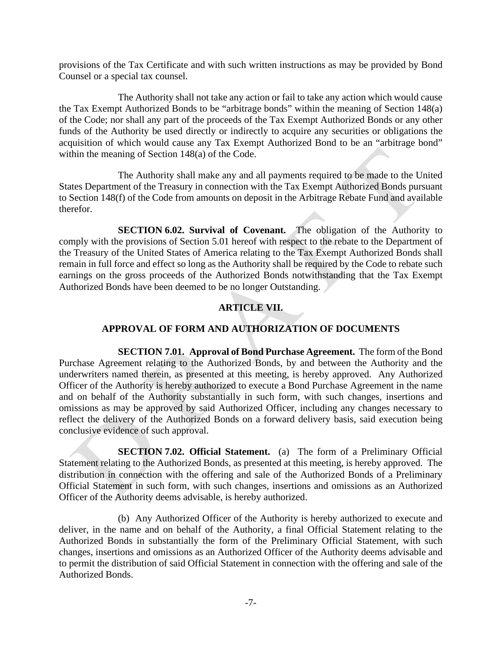provisions of the Tax Certificate and with such written instructions as may be provided by Bond Counsel or a special tax counsel.

The Authority shall not take any action or fail to take any action which would cause the Tax Exempt Authorized Bonds to be "arbitrage bonds" within the meaning of Section 148(a) of the Code; nor shall any part of the proceeds of the Tax Exempt Authorized Bonds or any other funds of the Authority be used directly or indirectly to acquire any securities or obligations the acquisition of which would cause any Tax Exempt Authorized Bond to be an "arbitrage bond" within the meaning of Section 148(a) of the Code.

The Authority shall make any and all payments required to be made to the United States Department of the Treasury in connection with the Tax Exempt Authorized Bonds pursuant to Section 148(f) of the Code from amounts on deposit in the Arbitrage Rebate Fund and available therefor.

**SECTION 6.02. Survival of Covenant.** The obligation of the Authority to comply with the provisions of Section 5.01 hereof with respect to the rebate to the Department of the Treasury of the United States of America relating to the Tax Exempt Authorized Bonds shall remain in full force and effect so long as the Authority shall be required by the Code to rebate such earnings on the gross proceeds of the Authorized Bonds notwithstanding that the Tax Exempt Authorized Bonds have been deemed to be no longer Outstanding.

# **ARTICLE VII.**

# **APPROVAL OF FORM AND AUTHORIZATION OF DOCUMENTS**

**SECTION 7.01. Approval of Bond Purchase Agreement.** The form of the Bond Purchase Agreement relating to the Authorized Bonds, by and between the Authority and the underwriters named therein, as presented at this meeting, is hereby approved. Any Authorized Officer of the Authority is hereby authorized to execute a Bond Purchase Agreement in the name and on behalf of the Authority substantially in such form, with such changes, insertions and omissions as may be approved by said Authorized Officer, including any changes necessary to reflect the delivery of the Authorized Bonds on a forward delivery basis, said execution being conclusive evidence of such approval.

**SECTION 7.02. Official Statement.** (a) The form of a Preliminary Official Statement relating to the Authorized Bonds, as presented at this meeting, is hereby approved. The distribution in connection with the offering and sale of the Authorized Bonds of a Preliminary Official Statement in such form, with such changes, insertions and omissions as an Authorized Officer of the Authority deems advisable, is hereby authorized.

(b) Any Authorized Officer of the Authority is hereby authorized to execute and deliver, in the name and on behalf of the Authority, a final Official Statement relating to the Authorized Bonds in substantially the form of the Preliminary Official Statement, with such changes, insertions and omissions as an Authorized Officer of the Authority deems advisable and to permit the distribution of said Official Statement in connection with the offering and sale of the Authorized Bonds.